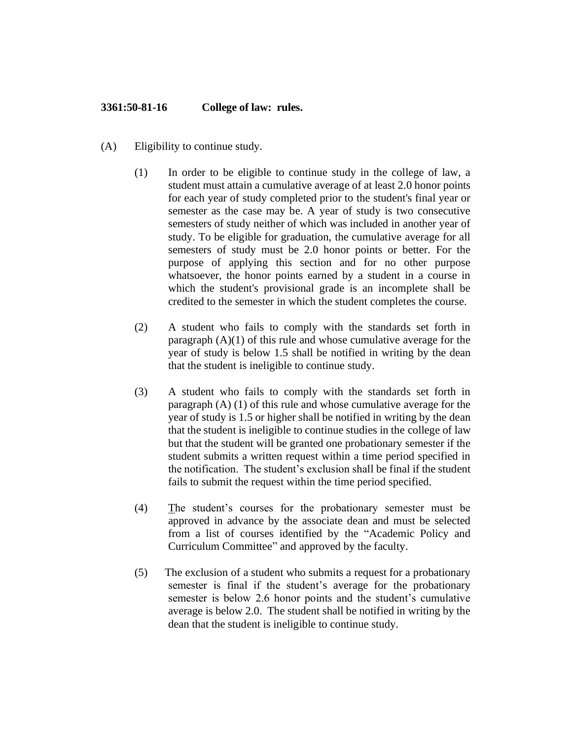## **3361:50-81-16 College of law: rules.**

- (A) Eligibility to continue study.
	- (1) In order to be eligible to continue study in the college of law, a student must attain a cumulative average of at least 2.0 honor points for each year of study completed prior to the student's final year or semester as the case may be. A year of study is two consecutive semesters of study neither of which was included in another year of study. To be eligible for graduation, the cumulative average for all semesters of study must be 2.0 honor points or better. For the purpose of applying this section and for no other purpose whatsoever, the honor points earned by a student in a course in which the student's provisional grade is an incomplete shall be credited to the semester in which the student completes the course.
	- (2) A student who fails to comply with the standards set forth in paragraph  $(A)(1)$  of this rule and whose cumulative average for the year of study is below 1.5 shall be notified in writing by the dean that the student is ineligible to continue study.
	- (3) A student who fails to comply with the standards set forth in paragraph (A) (1) of this rule and whose cumulative average for the year of study is 1.5 or higher shall be notified in writing by the dean that the student is ineligible to continue studies in the college of law but that the student will be granted one probationary semester if the student submits a written request within a time period specified in the notification. The student's exclusion shall be final if the student fails to submit the request within the time period specified.
	- (4) The student's courses for the probationary semester must be approved in advance by the associate dean and must be selected from a list of courses identified by the "Academic Policy and Curriculum Committee" and approved by the faculty.
	- (5) The exclusion of a student who submits a request for a probationary semester is final if the student's average for the probationary semester is below 2.6 honor points and the student's cumulative average is below 2.0. The student shall be notified in writing by the dean that the student is ineligible to continue study.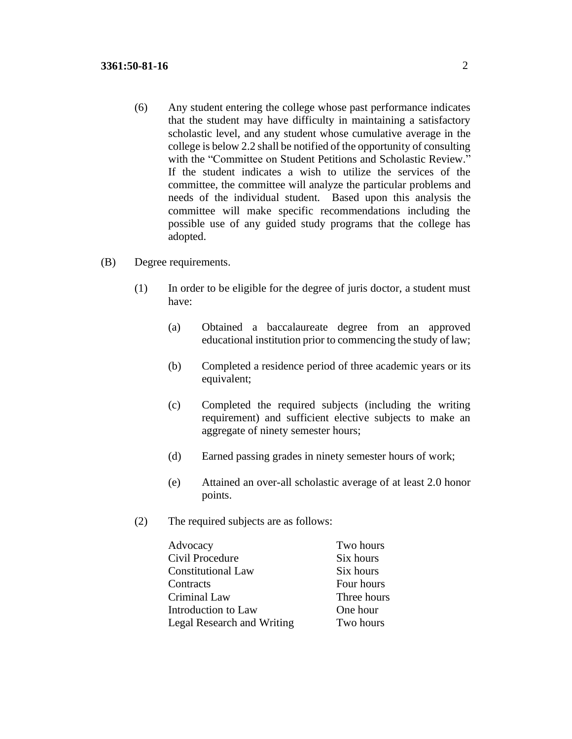- (6) Any student entering the college whose past performance indicates that the student may have difficulty in maintaining a satisfactory scholastic level, and any student whose cumulative average in the college is below 2.2 shall be notified of the opportunity of consulting with the "Committee on Student Petitions and Scholastic Review." If the student indicates a wish to utilize the services of the committee, the committee will analyze the particular problems and needs of the individual student. Based upon this analysis the committee will make specific recommendations including the possible use of any guided study programs that the college has adopted.
- (B) Degree requirements.
	- (1) In order to be eligible for the degree of juris doctor, a student must have:
		- (a) Obtained a baccalaureate degree from an approved educational institution prior to commencing the study of law;
		- (b) Completed a residence period of three academic years or its equivalent;
		- (c) Completed the required subjects (including the writing requirement) and sufficient elective subjects to make an aggregate of ninety semester hours;
		- (d) Earned passing grades in ninety semester hours of work;
		- (e) Attained an over-all scholastic average of at least 2.0 honor points.
	- (2) The required subjects are as follows:

| Advocacy                          | Two hours   |
|-----------------------------------|-------------|
| Civil Procedure                   | Six hours   |
| <b>Constitutional Law</b>         | Six hours   |
| Contracts                         | Four hours  |
| Criminal Law                      | Three hours |
| Introduction to Law               | One hour    |
| <b>Legal Research and Writing</b> | Two hours   |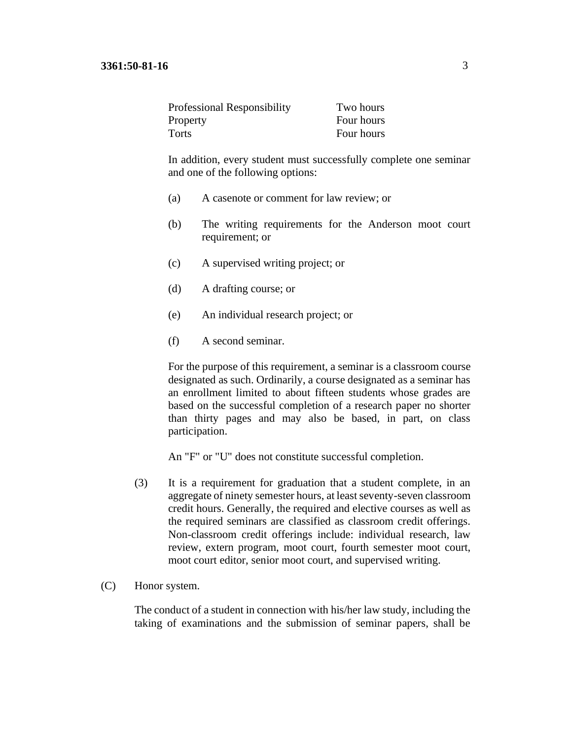| <b>Professional Responsibility</b> | Two hours  |
|------------------------------------|------------|
| Property                           | Four hours |
| Torts                              | Four hours |

In addition, every student must successfully complete one seminar and one of the following options:

- (a) A casenote or comment for law review; or
- (b) The writing requirements for the Anderson moot court requirement; or
- (c) A supervised writing project; or
- (d) A drafting course; or
- (e) An individual research project; or
- (f) A second seminar.

For the purpose of this requirement, a seminar is a classroom course designated as such. Ordinarily, a course designated as a seminar has an enrollment limited to about fifteen students whose grades are based on the successful completion of a research paper no shorter than thirty pages and may also be based, in part, on class participation.

An "F" or "U" does not constitute successful completion.

- (3) It is a requirement for graduation that a student complete, in an aggregate of ninety semester hours, at least seventy-seven classroom credit hours. Generally, the required and elective courses as well as the required seminars are classified as classroom credit offerings. Non-classroom credit offerings include: individual research, law review, extern program, moot court, fourth semester moot court, moot court editor, senior moot court, and supervised writing.
- (C) Honor system.

The conduct of a student in connection with his/her law study, including the taking of examinations and the submission of seminar papers, shall be